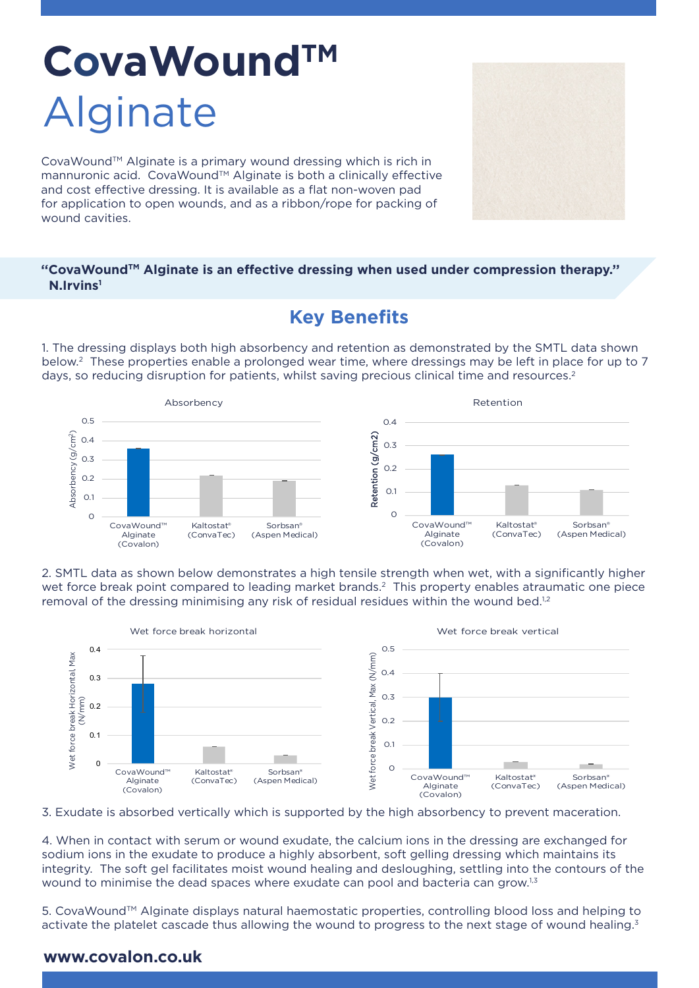# **CovaWoundTM** Alginate

CovaWound™ Alginate is a primary wound dressing which is rich in mannuronic acid. CovaWound™ Alginate is both a clinically effective and cost effective dressing. It is available as a flat non-woven pad for application to open wounds, and as a ribbon/rope for packing of wound cavities.

#### **''CovaWoundTM Alginate is an effective dressing when used under compression therapy.'' N.Irvins1**

## **Key Benefits**

1. The dressing displays both high absorbency and retention as demonstrated by the SMTL data shown below.2 These properties enable a prolonged wear time, where dressings may be left in place for up to 7 days, so reducing disruption for patients, whilst saving precious clinical time and resources.<sup>2</sup>



2. SMTL data as shown below demonstrates a high tensile strength when wet, with a significantly higher wet force break point compared to leading market brands.<sup>2</sup> This property enables atraumatic one piece removal of the dressing minimising any risk of residual residues within the wound bed.<sup>1,2</sup>



3. Exudate is absorbed vertically which is supported by the high absorbency to prevent maceration.

4. When in contact with serum or wound exudate, the calcium ions in the dressing are exchanged for sodium ions in the exudate to produce a highly absorbent, soft gelling dressing which maintains its integrity. The soft gel facilitates moist wound healing and desloughing, settling into the contours of the wound to minimise the dead spaces where exudate can pool and bacteria can grow.<sup>1,3</sup>

5. CovaWound™ Alginate displays natural haemostatic properties, controlling blood loss and helping to activate the platelet cascade thus allowing the wound to progress to the next stage of wound healing.<sup>3</sup>

#### **www.covalon.co.uk**